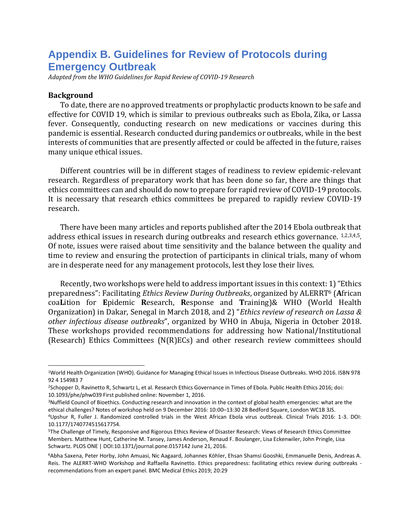# **Appendix B. Guidelines for Review of Protocols during Emergency Outbreak**

*Adapted from the WHO Guidelines for Rapid Review of COVID-19 Research*

#### **Background**

To date, there are no approved treatments or prophylactic products known to be safe and effective for COVID 19, which is similar to previous outbreaks such as Ebola, Zika, or Lassa fever. Consequently, conducting research on new medications or vaccines during this pandemic is essential. Research conducted during pandemics or outbreaks, while in the best interests of communities that are presently affected or could be affected in the future, raises many unique ethical issues.

Different countries will be in different stages of readiness to review epidemic-relevant research. Regardless of preparatory work that has been done so far, there are things that ethics committees can and should do now to prepare for rapid review of COVID-19 protocols. It is necessary that research ethics committees be prepared to rapidly review COVID-19 research.

There have been many articles and reports published after the 2014 Ebola outbreak that address ethical issues in research during outbreaks and research ethics governance.  $1,2,3,4,5$ . Of note, issues were raised about time sensitivity and the balance between the quality and time to review and ensuring the protection of participants in clinical trials, many of whom are in desperate need for any management protocols, lest they lose their lives.

Recently, two workshops were held to address important issues in this context: 1) "Ethics preparedness": Facilitating *Ethics Review During Outbreaks*, organized by ALERRT<sup>6</sup> (**A**frican coa**L**ition for **E**pidemic **R**esearch, **R**esponse and **T**raining)& WHO (World Health Organization) in Dakar, Senegal in March 2018, and 2) "*Ethics review of research on Lassa & other infectious disease outbreaks*", organized by WHO in Abuja, Nigeria in October 2018. These workshops provided recommendations for addressing how National/Institutional (Research) Ethics Committees (N(R)ECs) and other research review committees should

<sup>1</sup>World Health Organization (WHO). Guidance for Managing Ethical Issues in Infectious Disease Outbreaks. WHO 2016. ISBN 978 92 4 154983 7

<sup>2</sup>Schopper D, Ravinetto R, Schwartz L, et al. Research Ethics Governance in Times of Ebola. Public Health Ethics 2016; doi: 10.1093/phe/phw039 First published online: November 1, 2016.

<sup>3</sup>Nuffield Council of Bioethics. Conducting research and innovation in the context of global health emergencies: what are the ethical challenges? Notes of workshop held on 9 December 2016: 10:00–13:30 28 Bedford Square, London WC1B 3JS.

<sup>4</sup>Upshur R, Fuller J. Randomized controlled trials in the West African Ebola virus outbreak. Clinical Trials 2016: 1-3. DOI: 10.1177/1740774515617754.

<sup>5</sup>The Challenge of Timely, Responsive and Rigorous Ethics Review of Disaster Research: Views of Research Ethics Committee Members. Matthew Hunt, Catherine M. Tansey, James Anderson, Renaud F. Boulanger, Lisa Eckenwiler, John Pringle, Lisa Schwartz. PLOS ONE | DOI:10.1371/journal.pone.0157142 June 21, 2016.

<sup>6</sup>Abha Saxena, Peter Horby, John Amuasi, Nic Aagaard, Johannes Köhler, Ehsan Shamsi Gooshki, Emmanuelle Denis, Andreas A. Reis. The ALERRT-WHO Workshop and Raffaella Ravinetto. Ethics preparedness: facilitating ethics review during outbreaks recommendations from an expert panel. BMC Medical Ethics 2019; 20:29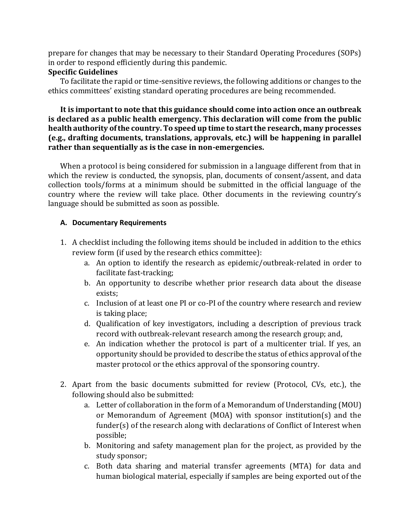prepare for changes that may be necessary to their Standard Operating Procedures (SOPs) in order to respond efficiently during this pandemic.

### **Specific Guidelines**

To facilitate the rapid or time-sensitive reviews, the following additions or changes to the ethics committees' existing standard operating procedures are being recommended.

### **It is important to note that this guidance should come into action once an outbreak is declared as a public health emergency. This declaration will come from the public health authority of the country. To speed up time to start the research, many processes (e.g., drafting documents, translations, approvals, etc.) will be happening in parallel rather than sequentially as is the case in non-emergencies.**

When a protocol is being considered for submission in a language different from that in which the review is conducted, the synopsis, plan, documents of consent/assent, and data collection tools/forms at a minimum should be submitted in the official language of the country where the review will take place. Other documents in the reviewing country's language should be submitted as soon as possible.

# **A. Documentary Requirements**

- 1. A checklist including the following items should be included in addition to the ethics review form (if used by the research ethics committee):
	- a. An option to identify the research as epidemic/outbreak-related in order to facilitate fast-tracking;
	- b. An opportunity to describe whether prior research data about the disease exists;
	- c. Inclusion of at least one PI or co-PI of the country where research and review is taking place;
	- d. Qualification of key investigators, including a description of previous track record with outbreak-relevant research among the research group; and,
	- e. An indication whether the protocol is part of a multicenter trial. If yes, an opportunity should be provided to describe the status of ethics approval of the master protocol or the ethics approval of the sponsoring country.
- 2. Apart from the basic documents submitted for review (Protocol, CVs, etc.), the following should also be submitted:
	- a. Letter of collaboration in the form of a Memorandum of Understanding (MOU) or Memorandum of Agreement (MOA) with sponsor institution(s) and the funder(s) of the research along with declarations of Conflict of Interest when possible;
	- b. Monitoring and safety management plan for the project, as provided by the study sponsor;
	- c. Both data sharing and material transfer agreements (MTA) for data and human biological material, especially if samples are being exported out of the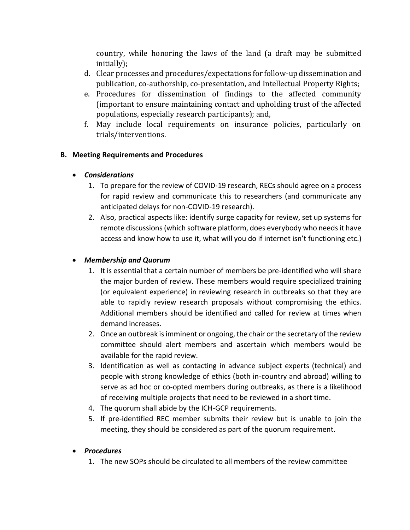country, while honoring the laws of the land (a draft may be submitted initially);

- d. Clear processes and procedures/expectations for follow-up dissemination and publication, co-authorship, co-presentation, and Intellectual Property Rights;
- e. Procedures for dissemination of findings to the affected community (important to ensure maintaining contact and upholding trust of the affected populations, especially research participants); and,
- f. May include local requirements on insurance policies, particularly on trials/interventions.

# **B. Meeting Requirements and Procedures**

# • *Considerations*

- 1. To prepare for the review of COVID-19 research, RECs should agree on a process for rapid review and communicate this to researchers (and communicate any anticipated delays for non-COVID-19 research).
- 2. Also, practical aspects like: identify surge capacity for review, set up systems for remote discussions (which software platform, does everybody who needs it have access and know how to use it, what will you do if internet isn't functioning etc.)

# • *Membership and Quorum*

- 1. It is essential that a certain number of members be pre-identified who will share the major burden of review. These members would require specialized training (or equivalent experience) in reviewing research in outbreaks so that they are able to rapidly review research proposals without compromising the ethics. Additional members should be identified and called for review at times when demand increases.
- 2. Once an outbreak is imminent or ongoing, the chair or the secretary of the review committee should alert members and ascertain which members would be available for the rapid review.
- 3. Identification as well as contacting in advance subject experts (technical) and people with strong knowledge of ethics (both in-country and abroad) willing to serve as ad hoc or co-opted members during outbreaks, as there is a likelihood of receiving multiple projects that need to be reviewed in a short time.
- 4. The quorum shall abide by the ICH-GCP requirements.
- 5. If pre-identified REC member submits their review but is unable to join the meeting, they should be considered as part of the quorum requirement.

# • *Procedures*

1. The new SOPs should be circulated to all members of the review committee